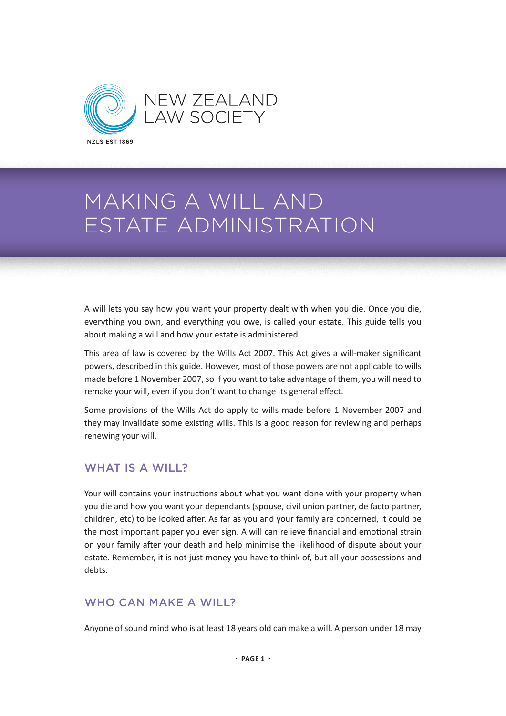

A will lets you say how you want your property dealt with when you die. Once you die, everything you own, and everything you owe, is called your estate. This guide tells you about making a will and how your estate is administered.

This area of law is covered by the Wills Act 2007. This Act gives a will-maker significant powers, described in this guide. However, most of those powers are not applicable to wills made before 1 November 2007, so if you want to take advantage of them, you will need to remake your will, even if you don't want to change its general effect.

Some provisions of the Wills Act do apply to wills made before 1 November 2007 and they may invalidate some existing wills. This is a good reason for reviewing and perhaps renewing your will.

### WHAT IS A WILL?

Your will contains your instructions about what you want done with your property when you die and how you want your dependants (spouse, civil union partner, de facto partner, children, etc) to be looked after. As far as you and your family are concerned, it could be the most important paper you ever sign. A will can relieve financial and emotional strain on your family after your death and help minimise the likelihood of dispute about your estate. Remember, it is not just money you have to think of, but all your possessions and debts.

### WHO CAN MAKE A WILL?

Anyone of sound mind who is at least 18 years old can make a will. A person under 18 may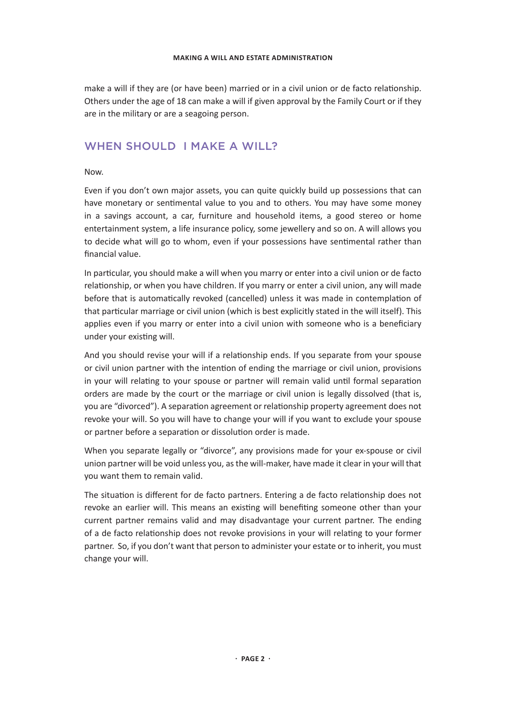make a will if they are (or have been) married or in a civil union or de facto relationship. Others under the age of 18 can make a will if given approval by the Family Court or if they are in the military or are a seagoing person.

### WHEN SHOULD I MAKE A WILL?

Now.

Even if you don't own major assets, you can quite quickly build up possessions that can have monetary or sentimental value to you and to others. You may have some money in a savings account, a car, furniture and household items, a good stereo or home entertainment system, a life insurance policy, some jewellery and so on. A will allows you to decide what will go to whom, even if your possessions have sentimental rather than financial value.

In particular, you should make a will when you marry or enter into a civil union or de facto relationship, or when you have children. If you marry or enter a civil union, any will made before that is automatically revoked (cancelled) unless it was made in contemplation of that particular marriage or civil union (which is best explicitly stated in the will itself). This applies even if you marry or enter into a civil union with someone who is a beneficiary under your existing will.

And you should revise your will if a relationship ends. If you separate from your spouse or civil union partner with the intention of ending the marriage or civil union, provisions in your will relating to your spouse or partner will remain valid until formal separation orders are made by the court or the marriage or civil union is legally dissolved (that is, you are "divorced"). A separation agreement or relationship property agreement does not revoke your will. So you will have to change your will if you want to exclude your spouse or partner before a separation or dissolution order is made.

When you separate legally or "divorce", any provisions made for your ex-spouse or civil union partner will be void unless you, as the will-maker, have made it clear in your will that you want them to remain valid.

The situation is different for de facto partners. Entering a de facto relationship does not revoke an earlier will. This means an existing will benefiting someone other than your current partner remains valid and may disadvantage your current partner. The ending of a de facto relationship does not revoke provisions in your will relating to your former partner. So, if you don't want that person to administer your estate or to inherit, you must change your will.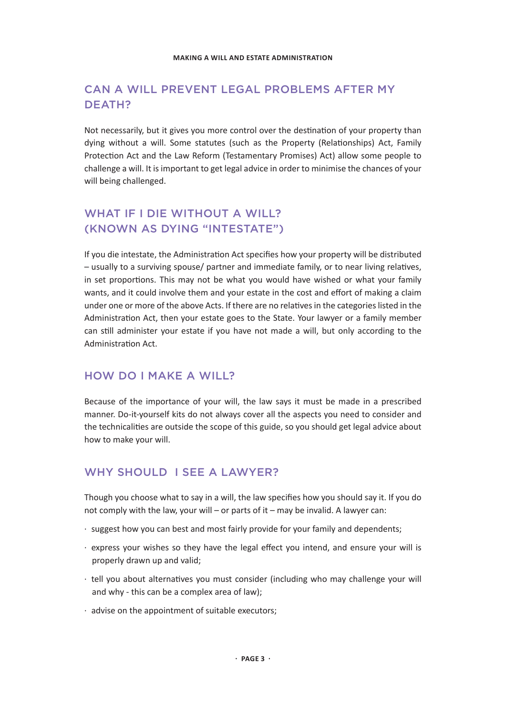# CAN A WILL PREVENT LEGAL PROBLEMS AFTER MY DEATH?

Not necessarily, but it gives you more control over the destination of your property than dying without a will. Some statutes (such as the Property (Relationships) Act, Family Protection Act and the Law Reform (Testamentary Promises) Act) allow some people to challenge a will. It is important to get legal advice in order to minimise the chances of your will being challenged.

# WHAT IF I DIE WITHOUT A WILL? (KNOWN AS DYING "INTESTATE")

If you die intestate, the Administration Act specifies how your property will be distributed – usually to a surviving spouse/ partner and immediate family, or to near living relatives, in set proportions. This may not be what you would have wished or what your family wants, and it could involve them and your estate in the cost and effort of making a claim under one or more of the above Acts. If there are no relatives in the categories listed in the Administration Act, then your estate goes to the State. Your lawyer or a family member can still administer your estate if you have not made a will, but only according to the Administration Act.

### HOW DO I MAKE A WILL?

Because of the importance of your will, the law says it must be made in a prescribed manner. Do-it-yourself kits do not always cover all the aspects you need to consider and the technicalities are outside the scope of this guide, so you should get legal advice about how to make your will.

### WHY SHOULD I SFF A LAWYER?

Though you choose what to say in a will, the law specifies how you should say it. If you do not comply with the law, your will – or parts of it – may be invalid. A lawyer can:

- · suggest how you can best and most fairly provide for your family and dependents;
- · express your wishes so they have the legal effect you intend, and ensure your will is properly drawn up and valid;
- · tell you about alternatives you must consider (including who may challenge your will and why - this can be a complex area of law);
- · advise on the appointment of suitable executors;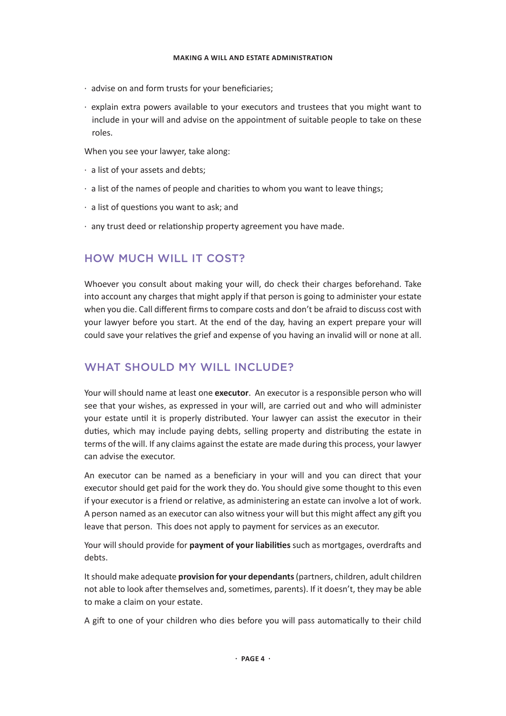- · advise on and form trusts for your beneficiaries;
- · explain extra powers available to your executors and trustees that you might want to include in your will and advise on the appointment of suitable people to take on these roles.

When you see your lawyer, take along:

- · a list of your assets and debts;
- · a list of the names of people and charities to whom you want to leave things;
- · a list of questions you want to ask; and
- · any trust deed or relationship property agreement you have made.

#### HOW MUCH WILL IT COST?

Whoever you consult about making your will, do check their charges beforehand. Take into account any charges that might apply if that person is going to administer your estate when you die. Call different firms to compare costs and don't be afraid to discuss cost with your lawyer before you start. At the end of the day, having an expert prepare your will could save your relatives the grief and expense of you having an invalid will or none at all.

#### WHAT SHOULD MY WILL INCLUDE?

Your will should name at least one **executor**. An executor is a responsible person who will see that your wishes, as expressed in your will, are carried out and who will administer your estate until it is properly distributed. Your lawyer can assist the executor in their duties, which may include paying debts, selling property and distributing the estate in terms of the will. If any claims against the estate are made during this process, your lawyer can advise the executor.

An executor can be named as a beneficiary in your will and you can direct that your executor should get paid for the work they do. You should give some thought to this even if your executor is a friend or relative, as administering an estate can involve a lot of work. A person named as an executor can also witness your will but this might affect any gift you leave that person. This does not apply to payment for services as an executor.

Your will should provide for **payment of your liabilities** such as mortgages, overdrafts and debts.

It should make adequate **provision for your dependants** (partners, children, adult children not able to look after themselves and, sometimes, parents). If it doesn't, they may be able to make a claim on your estate.

A gift to one of your children who dies before you will pass automatically to their child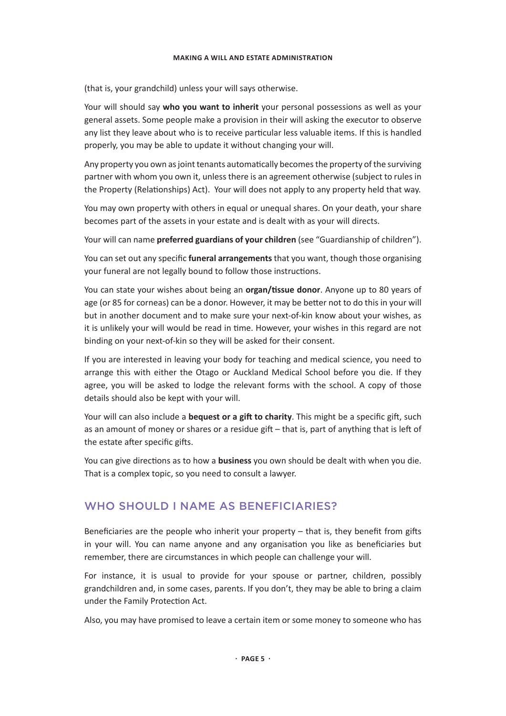(that is, your grandchild) unless your will says otherwise.

Your will should say **who you want to inherit** your personal possessions as well as your general assets. Some people make a provision in their will asking the executor to observe any list they leave about who is to receive particular less valuable items. If this is handled properly, you may be able to update it without changing your will.

Any property you own as joint tenants automatically becomes the property of the surviving partner with whom you own it, unless there is an agreement otherwise (subject to rules in the Property (Relationships) Act). Your will does not apply to any property held that way.

You may own property with others in equal or unequal shares. On your death, your share becomes part of the assets in your estate and is dealt with as your will directs.

Your will can name **preferred guardians of your children** (see "Guardianship of children").

You can set out any specific **funeral arrangements** that you want, though those organising your funeral are not legally bound to follow those instructions.

You can state your wishes about being an **organ/tissue donor**. Anyone up to 80 years of age (or 85 for corneas) can be a donor. However, it may be better not to do this in your will but in another document and to make sure your next-of-kin know about your wishes, as it is unlikely your will would be read in time. However, your wishes in this regard are not binding on your next-of-kin so they will be asked for their consent.

If you are interested in leaving your body for teaching and medical science, you need to arrange this with either the Otago or Auckland Medical School before you die. If they agree, you will be asked to lodge the relevant forms with the school. A copy of those details should also be kept with your will.

Your will can also include a **bequest or a gift to charity**. This might be a specific gift, such as an amount of money or shares or a residue gift – that is, part of anything that is left of the estate after specific gifts.

You can give directions as to how a **business** you own should be dealt with when you die. That is a complex topic, so you need to consult a lawyer.

### WHO SHOULD I NAME AS BENEFICIARIES?

Beneficiaries are the people who inherit your property – that is, they benefit from gifts in your will. You can name anyone and any organisation you like as beneficiaries but remember, there are circumstances in which people can challenge your will.

For instance, it is usual to provide for your spouse or partner, children, possibly grandchildren and, in some cases, parents. If you don't, they may be able to bring a claim under the Family Protection Act.

Also, you may have promised to leave a certain item or some money to someone who has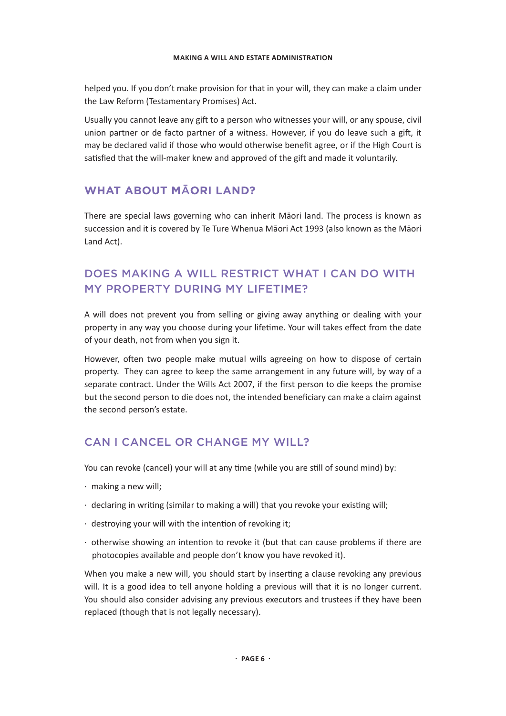helped you. If you don't make provision for that in your will, they can make a claim under the Law Reform (Testamentary Promises) Act.

Usually you cannot leave any gift to a person who witnesses your will, or any spouse, civil union partner or de facto partner of a witness. However, if you do leave such a gift, it may be declared valid if those who would otherwise benefit agree, or if the High Court is satisfied that the will-maker knew and approved of the gift and made it voluntarily.

# **WHAT ABOUT M**Ā**ORI LAND?**

There are special laws governing who can inherit Māori land. The process is known as succession and it is covered by Te Ture Whenua Māori Act 1993 (also known as the Māori Land Act).

# DOES MAKING A WILL RESTRICT WHAT I CAN DO WITH MY PROPERTY DURING MY LIFETIME?

A will does not prevent you from selling or giving away anything or dealing with your property in any way you choose during your lifetime. Your will takes effect from the date of your death, not from when you sign it.

However, often two people make mutual wills agreeing on how to dispose of certain property. They can agree to keep the same arrangement in any future will, by way of a separate contract. Under the Wills Act 2007, if the first person to die keeps the promise but the second person to die does not, the intended beneficiary can make a claim against the second person's estate.

# CAN I CANCEL OR CHANGE MY WILL?

You can revoke (cancel) your will at any time (while you are still of sound mind) by:

- · making a new will;
- · declaring in writing (similar to making a will) that you revoke your existing will;
- · destroying your will with the intention of revoking it;
- · otherwise showing an intention to revoke it (but that can cause problems if there are photocopies available and people don't know you have revoked it).

When you make a new will, you should start by inserting a clause revoking any previous will. It is a good idea to tell anyone holding a previous will that it is no longer current. You should also consider advising any previous executors and trustees if they have been replaced (though that is not legally necessary).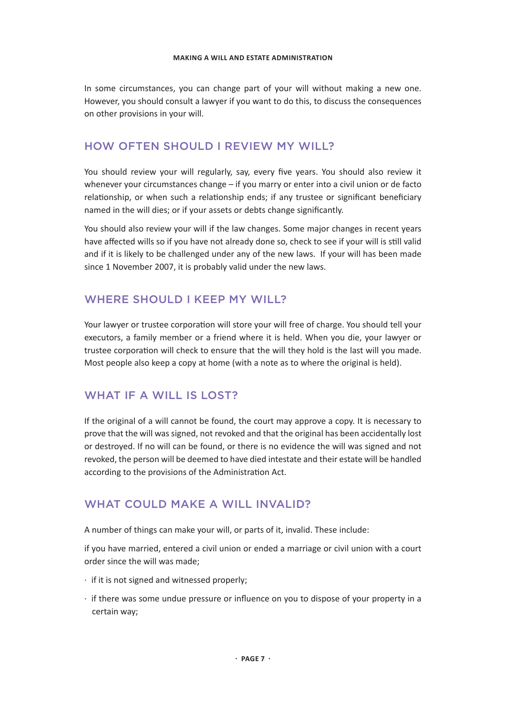In some circumstances, you can change part of your will without making a new one. However, you should consult a lawyer if you want to do this, to discuss the consequences on other provisions in your will.

### HOW OFTEN SHOULD LREVIEW MY WILL?

You should review your will regularly, say, every five years. You should also review it whenever your circumstances change – if you marry or enter into a civil union or de facto relationship, or when such a relationship ends; if any trustee or significant beneficiary named in the will dies; or if your assets or debts change significantly.

You should also review your will if the law changes. Some major changes in recent years have affected wills so if you have not already done so, check to see if your will is still valid and if it is likely to be challenged under any of the new laws. If your will has been made since 1 November 2007, it is probably valid under the new laws.

### WHERE SHOULD LKEEP MY WILL?

Your lawyer or trustee corporation will store your will free of charge. You should tell your executors, a family member or a friend where it is held. When you die, your lawyer or trustee corporation will check to ensure that the will they hold is the last will you made. Most people also keep a copy at home (with a note as to where the original is held).

### WHAT IF A WILL IS LOST?

If the original of a will cannot be found, the court may approve a copy. It is necessary to prove that the will was signed, not revoked and that the original has been accidentally lost or destroyed. If no will can be found, or there is no evidence the will was signed and not revoked, the person will be deemed to have died intestate and their estate will be handled according to the provisions of the Administration Act.

### WHAT COULD MAKE A WILL INVALID?

A number of things can make your will, or parts of it, invalid. These include:

if you have married, entered a civil union or ended a marriage or civil union with a court order since the will was made;

- · if it is not signed and witnessed properly;
- · if there was some undue pressure or influence on you to dispose of your property in a certain way;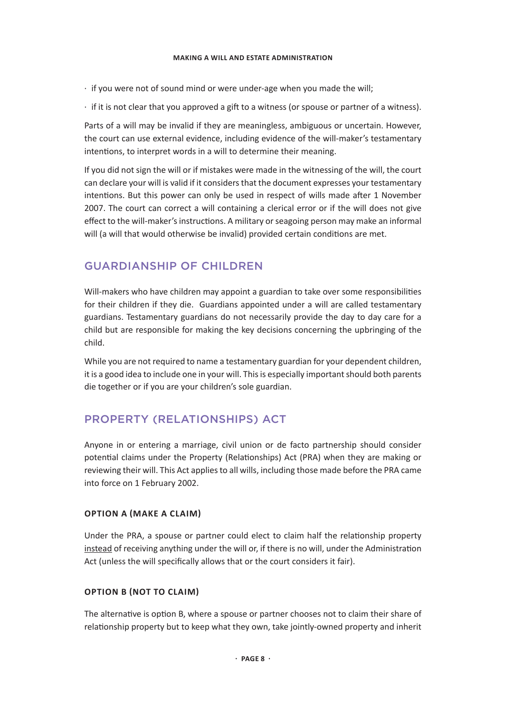- · if you were not of sound mind or were under-age when you made the will;
- · if it is not clear that you approved a gift to a witness (or spouse or partner of a witness).

Parts of a will may be invalid if they are meaningless, ambiguous or uncertain. However, the court can use external evidence, including evidence of the will-maker's testamentary intentions, to interpret words in a will to determine their meaning.

If you did not sign the will or if mistakes were made in the witnessing of the will, the court can declare your will is valid if it considers that the document expresses your testamentary intentions. But this power can only be used in respect of wills made after 1 November 2007. The court can correct a will containing a clerical error or if the will does not give effect to the will-maker's instructions. A military or seagoing person may make an informal will (a will that would otherwise be invalid) provided certain conditions are met.

### GUARDIANSHIP OF CHILDREN

Will-makers who have children may appoint a guardian to take over some responsibilities for their children if they die. Guardians appointed under a will are called testamentary guardians. Testamentary guardians do not necessarily provide the day to day care for a child but are responsible for making the key decisions concerning the upbringing of the child.

While you are not required to name a testamentary guardian for your dependent children, it is a good idea to include one in your will. This is especially important should both parents die together or if you are your children's sole guardian.

# PROPERTY (RELATIONSHIPS) ACT

Anyone in or entering a marriage, civil union or de facto partnership should consider potential claims under the Property (Relationships) Act (PRA) when they are making or reviewing their will. This Act applies to all wills, including those made before the PRA came into force on 1 February 2002.

#### **OPTION A (MAKE A CLAIM)**

Under the PRA, a spouse or partner could elect to claim half the relationship property instead of receiving anything under the will or, if there is no will, under the Administration Act (unless the will specifically allows that or the court considers it fair).

#### **OPTION B (NOT TO CLAIM)**

The alternative is option B, where a spouse or partner chooses not to claim their share of relationship property but to keep what they own, take jointly-owned property and inherit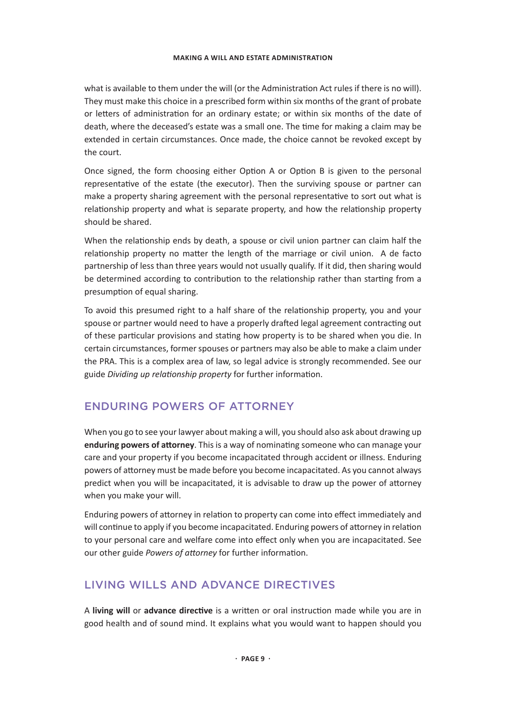what is available to them under the will (or the Administration Act rules if there is no will). They must make this choice in a prescribed form within six months of the grant of probate or letters of administration for an ordinary estate; or within six months of the date of death, where the deceased's estate was a small one. The time for making a claim may be extended in certain circumstances. Once made, the choice cannot be revoked except by the court.

Once signed, the form choosing either Option A or Option B is given to the personal representative of the estate (the executor). Then the surviving spouse or partner can make a property sharing agreement with the personal representative to sort out what is relationship property and what is separate property, and how the relationship property should be shared.

When the relationship ends by death, a spouse or civil union partner can claim half the relationship property no matter the length of the marriage or civil union. A de facto partnership of less than three years would not usually qualify. If it did, then sharing would be determined according to contribution to the relationship rather than starting from a presumption of equal sharing.

To avoid this presumed right to a half share of the relationship property, you and your spouse or partner would need to have a properly drafted legal agreement contracting out of these particular provisions and stating how property is to be shared when you die. In certain circumstances, former spouses or partners may also be able to make a claim under the PRA. This is a complex area of law, so legal advice is strongly recommended. See our guide *Dividing up relationship property* for further information.

# ENDURING POWERS OF ATTORNEY

When you go to see your lawyer about making a will, you should also ask about drawing up **enduring powers of attorney**. This is a way of nominating someone who can manage your care and your property if you become incapacitated through accident or illness. Enduring powers of attorney must be made before you become incapacitated. As you cannot always predict when you will be incapacitated, it is advisable to draw up the power of attorney when you make your will.

Enduring powers of attorney in relation to property can come into effect immediately and will continue to apply if you become incapacitated. Enduring powers of attorney in relation to your personal care and welfare come into effect only when you are incapacitated. See our other guide *Powers of attorney* for further information.

# LIVING WILLS AND ADVANCE DIRECTIVES

A **living will** or **advance directive** is a written or oral instruction made while you are in good health and of sound mind. It explains what you would want to happen should you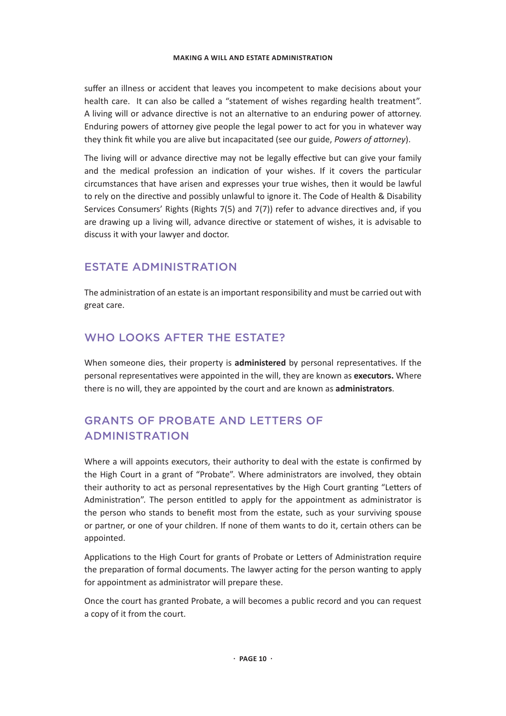suffer an illness or accident that leaves you incompetent to make decisions about your health care. It can also be called a "statement of wishes regarding health treatment". A living will or advance directive is not an alternative to an enduring power of attorney. Enduring powers of attorney give people the legal power to act for you in whatever way they think fit while you are alive but incapacitated (see our guide, *Powers of attorney*).

The living will or advance directive may not be legally effective but can give your family and the medical profession an indication of your wishes. If it covers the particular circumstances that have arisen and expresses your true wishes, then it would be lawful to rely on the directive and possibly unlawful to ignore it. The Code of Health & Disability Services Consumers' Rights (Rights 7(5) and 7(7)) refer to advance directives and, if you are drawing up a living will, advance directive or statement of wishes, it is advisable to discuss it with your lawyer and doctor.

### ESTATE ADMINISTRATION

The administration of an estate is an important responsibility and must be carried out with great care.

# WHO LOOKS AFTER THE ESTATE?

When someone dies, their property is **administered** by personal representatives. If the personal representatives were appointed in the will, they are known as **executors.** Where there is no will, they are appointed by the court and are known as **administrators**.

# GRANTS OF PROBATE AND LETTERS OF ADMINISTRATION

Where a will appoints executors, their authority to deal with the estate is confirmed by the High Court in a grant of "Probate". Where administrators are involved, they obtain their authority to act as personal representatives by the High Court granting "Letters of Administration". The person entitled to apply for the appointment as administrator is the person who stands to benefit most from the estate, such as your surviving spouse or partner, or one of your children. If none of them wants to do it, certain others can be appointed.

Applications to the High Court for grants of Probate or Letters of Administration require the preparation of formal documents. The lawyer acting for the person wanting to apply for appointment as administrator will prepare these.

Once the court has granted Probate, a will becomes a public record and you can request a copy of it from the court.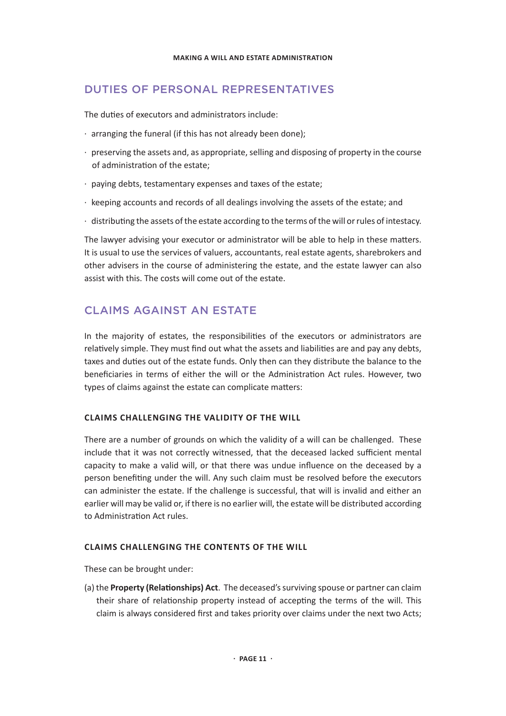### DUTIES OF PERSONAL REPRESENTATIVES

The duties of executors and administrators include:

- · arranging the funeral (if this has not already been done);
- · preserving the assets and, as appropriate, selling and disposing of property in the course of administration of the estate;
- · paying debts, testamentary expenses and taxes of the estate;
- · keeping accounts and records of all dealings involving the assets of the estate; and
- · distributing the assets of the estate according to the terms of the will or rules of intestacy.

The lawyer advising your executor or administrator will be able to help in these matters. It is usual to use the services of valuers, accountants, real estate agents, sharebrokers and other advisers in the course of administering the estate, and the estate lawyer can also assist with this. The costs will come out of the estate.

### CLAIMS AGAINST AN ESTATE

In the majority of estates, the responsibilities of the executors or administrators are relatively simple. They must find out what the assets and liabilities are and pay any debts, taxes and duties out of the estate funds. Only then can they distribute the balance to the beneficiaries in terms of either the will or the Administration Act rules. However, two types of claims against the estate can complicate matters:

#### **CLAIMS CHALLENGING THE VALIDITY OF THE WILL**

There are a number of grounds on which the validity of a will can be challenged. These include that it was not correctly witnessed, that the deceased lacked sufficient mental capacity to make a valid will, or that there was undue influence on the deceased by a person benefiting under the will. Any such claim must be resolved before the executors can administer the estate. If the challenge is successful, that will is invalid and either an earlier will may be valid or, if there is no earlier will, the estate will be distributed according to Administration Act rules.

#### **CLAIMS CHALLENGING THE CONTENTS OF THE WILL**

These can be brought under:

(a) the **Property (Relationships) Act**. The deceased's surviving spouse or partner can claim their share of relationship property instead of accepting the terms of the will. This claim is always considered first and takes priority over claims under the next two Acts;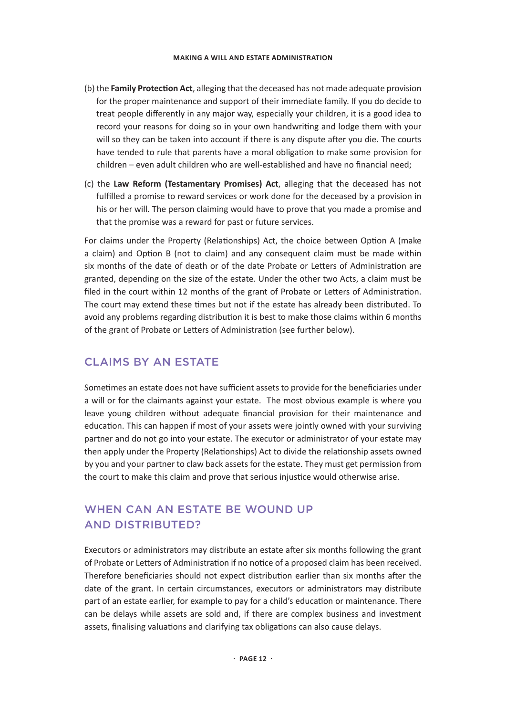- (b) the **Family Protection Act**, alleging that the deceased has not made adequate provision for the proper maintenance and support of their immediate family. If you do decide to treat people differently in any major way, especially your children, it is a good idea to record your reasons for doing so in your own handwriting and lodge them with your will so they can be taken into account if there is any dispute after you die. The courts have tended to rule that parents have a moral obligation to make some provision for children – even adult children who are well-established and have no financial need;
- (c) the **Law Reform (Testamentary Promises) Act**, alleging that the deceased has not fulfilled a promise to reward services or work done for the deceased by a provision in his or her will. The person claiming would have to prove that you made a promise and that the promise was a reward for past or future services.

For claims under the Property (Relationships) Act, the choice between Option A (make a claim) and Option B (not to claim) and any consequent claim must be made within six months of the date of death or of the date Probate or Letters of Administration are granted, depending on the size of the estate. Under the other two Acts, a claim must be filed in the court within 12 months of the grant of Probate or Letters of Administration. The court may extend these times but not if the estate has already been distributed. To avoid any problems regarding distribution it is best to make those claims within 6 months of the grant of Probate or Letters of Administration (see further below).

# CLAIMS BY AN ESTATE

Sometimes an estate does not have sufficient assets to provide for the beneficiaries under a will or for the claimants against your estate. The most obvious example is where you leave young children without adequate financial provision for their maintenance and education. This can happen if most of your assets were jointly owned with your surviving partner and do not go into your estate. The executor or administrator of your estate may then apply under the Property (Relationships) Act to divide the relationship assets owned by you and your partner to claw back assets for the estate. They must get permission from the court to make this claim and prove that serious injustice would otherwise arise.

# WHEN CAN AN ESTATE BE WOUND UP AND DISTRIBUTED?

Executors or administrators may distribute an estate after six months following the grant of Probate or Letters of Administration if no notice of a proposed claim has been received. Therefore beneficiaries should not expect distribution earlier than six months after the date of the grant. In certain circumstances, executors or administrators may distribute part of an estate earlier, for example to pay for a child's education or maintenance. There can be delays while assets are sold and, if there are complex business and investment assets, finalising valuations and clarifying tax obligations can also cause delays.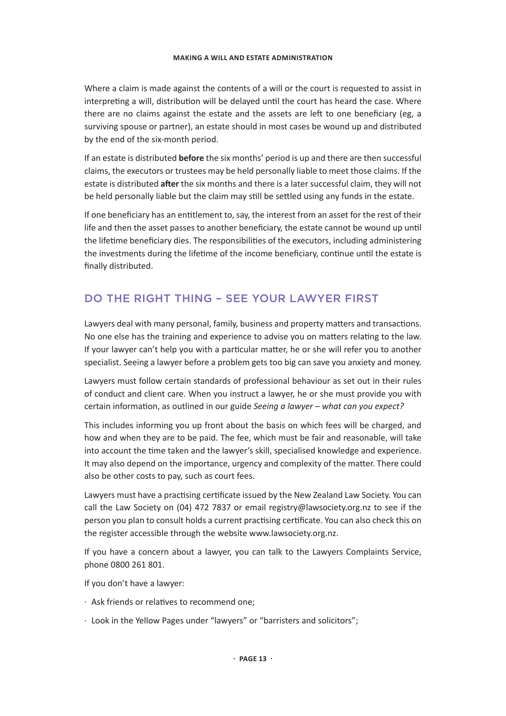Where a claim is made against the contents of a will or the court is requested to assist in interpreting a will, distribution will be delayed until the court has heard the case. Where there are no claims against the estate and the assets are left to one beneficiary (eg, a surviving spouse or partner), an estate should in most cases be wound up and distributed by the end of the six-month period.

If an estate is distributed **before** the six months' period is up and there are then successful claims, the executors or trustees may be held personally liable to meet those claims. If the estate is distributed **after** the six months and there is a later successful claim, they will not be held personally liable but the claim may still be settled using any funds in the estate.

If one beneficiary has an entitlement to, say, the interest from an asset for the rest of their life and then the asset passes to another beneficiary, the estate cannot be wound up until the lifetime beneficiary dies. The responsibilities of the executors, including administering the investments during the lifetime of the income beneficiary, continue until the estate is finally distributed.

# DO THE RIGHT THING – SEE YOUR LAWYER FIRST

Lawyers deal with many personal, family, business and property matters and transactions. No one else has the training and experience to advise you on matters relating to the law. If your lawyer can't help you with a particular matter, he or she will refer you to another specialist. Seeing a lawyer before a problem gets too big can save you anxiety and money.

Lawyers must follow certain standards of professional behaviour as set out in their rules of conduct and client care. When you instruct a lawyer, he or she must provide you with certain information, as outlined in our guide *Seeing a lawyer – what can you expect?*

This includes informing you up front about the basis on which fees will be charged, and how and when they are to be paid. The fee, which must be fair and reasonable, will take into account the time taken and the lawyer's skill, specialised knowledge and experience. It may also depend on the importance, urgency and complexity of the matter. There could also be other costs to pay, such as court fees.

Lawyers must have a practising certificate issued by the New Zealand Law Society. You can call the Law Society on (04) 472 7837 or email registry@lawsociety.org.nz to see if the person you plan to consult holds a current practising certificate. You can also check this on the register accessible through the website www.lawsociety.org.nz.

If you have a concern about a lawyer, you can talk to the Lawyers Complaints Service, phone 0800 261 801.

If you don't have a lawyer:

- · Ask friends or relatives to recommend one;
- · Look in the Yellow Pages under "lawyers" or "barristers and solicitors";